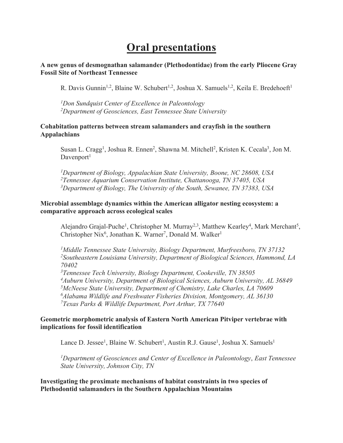# **Oral presentations**

**A new genus of desmognathan salamander (Plethodontidae) from the early Pliocene Gray Fossil Site of Northeast Tennessee**

R. Davis Gunnin<sup>1,2</sup>, Blaine W. Schubert<sup>1,2</sup>, Joshua X. Samuels<sup>1,2</sup>, Keila E. Bredehoeft<sup>1</sup>

*1 Don Sundquist Center of Excellence in Paleontology 2 Department of Geosciences, East Tennessee State University*

#### **Cohabitation patterns between stream salamanders and crayfish in the southern Appalachians**

Susan L. Cragg<sup>1</sup>, Joshua R. Ennen<sup>2</sup>, Shawna M. Mitchell<sup>2</sup>, Kristen K. Cecala<sup>3</sup>, Jon M. Davenport<sup>1</sup>

*1 Department of Biology, Appalachian State University, Boone, NC 28608, USA 2 Tennessee Aquarium Conservation Institute, Chattanooga, TN 37405, USA 3 Department of Biology, The University of the South, Sewanee, TN 37383, USA*

# **Microbial assemblage dynamics within the American alligator nesting ecosystem: a comparative approach across ecological scales**

Alejandro Grajal-Puche<sup>1</sup>, Christopher M. Murray<sup>2,3</sup>, Matthew Kearley<sup>4</sup>, Mark Merchant<sup>5</sup>, Christopher Nix<sup>6</sup>, Jonathan K. Warner<sup>7</sup>, Donald M. Walker<sup>1</sup>

*1 Middle Tennessee State University, Biology Department, Murfreesboro, TN 37132 2 Southeastern Louisiana University, Department of Biological Sciences, Hammond, LA 70402*

 *Tennessee Tech University, Biology Department, Cookeville, TN 38505 Auburn University, Department of Biological Sciences, Auburn University, AL 36849 McNeese State University, Department of Chemistry, Lake Charles, LA 70609 Alabama Wildlife and Freshwater Fisheries Division, Montgomery, AL 36130 Texas Parks & Wildlife Department, Port Arthur, TX 77640*

# **Geometric morphometric analysis of Eastern North American Pitviper vertebrae with implications for fossil identification**

Lance D. Jessee<sup>1</sup>, Blaine W. Schubert<sup>1</sup>, Austin R.J. Gause<sup>1</sup>, Joshua X. Samuels<sup>1</sup>

*1 Department of Geosciences and Center of Excellence in Paleontology*, *East Tennessee State University, Johnson City, TN*

**Investigating the proximate mechanisms of habitat constraints in two species of Plethodontid salamanders in the Southern Appalachian Mountains**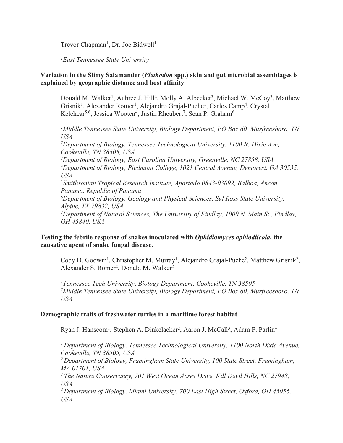Trevor Chapman<sup>1</sup>, Dr. Joe Bidwell<sup>1</sup>

*1 East Tennessee State University*

#### **Variation in the Slimy Salamander (***Plethodon* **spp.) skin and gut microbial assemblages is explained by geographic distance and host affinity**

Donald M. Walker<sup>1</sup>, Aubree J. Hill<sup>2</sup>, Molly A. Albecker<sup>3</sup>, Michael W. McCoy<sup>3</sup>, Matthew Grisnik<sup>1</sup>, Alexander Romer<sup>1</sup>, Alejandro Grajal-Puche<sup>1</sup>, Carlos Camp<sup>4</sup>, Crystal Kelehear<sup>5,6</sup>, Jessica Wooten<sup>4</sup>, Justin Rheubert<sup>7</sup>, Sean P. Graham<sup>6</sup>

<sup>1</sup>Middle Tennessee State University, Biology Department, PO Box 60, Murfreesboro, TN *USA* <sup>2</sup>Department of Biology, Tennessee Technological University, 1100 N. Dixie Ave, *Cookeville, TN 38505, USA 3 Department of Biology, East Carolina University, Greenville, NC 27858, USA 4 Department of Biology, Piedmont College, 1021 Central Avenue, Demorest, GA 30535, USA 5 Smithsonian Tropical Research Institute, Apartado 0843-03092, Balboa, Ancon, Panama, Republic of Panama 6 Department of Biology, Geology and Physical Sciences, Sul Ross State University, Alpine, TX 79832, USA 7 Department of Natural Sciences, The University of Findlay, 1000 N. Main St., Findlay, OH 45840, USA*

# **Testing the febrile response of snakes inoculated with** *Ophidiomyces ophiodiicola,* **the causative agent of snake fungal disease.**

Cody D. Godwin<sup>1</sup>, Christopher M. Murray<sup>1</sup>, Alejandro Grajal-Puche<sup>2</sup>, Matthew Grisnik<sup>2</sup>, Alexander S. Romer<sup>2</sup>, Donald M. Walker<sup>2</sup>

*1 Tennessee Tech University, Biology Department, Cookeville, TN 38505 2 Middle Tennessee State University, Biology Department, PO Box 60, Murfreesboro, TN USA*

#### **Demographic traits of freshwater turtles in a maritime forest habitat**

Ryan J. Hanscom<sup>1</sup>, Stephen A. Dinkelacker<sup>2</sup>, Aaron J. McCall<sup>3</sup>, Adam F. Parlin<sup>4</sup>

*<sup>1</sup> Department of Biology, Tennessee Technological University, 1100 North Dixie Avenue, Cookeville, TN 38505, USA*

*<sup>2</sup> Department of Biology, Framingham State University, 100 State Street, Framingham, MA 01701, USA*

*<sup>3</sup> The Nature Conservancy, 701 West Ocean Acres Drive, Kill Devil Hills, NC 27948, USA*

*<sup>4</sup> Department of Biology, Miami University, 700 East High Street, Oxford, OH 45056, USA*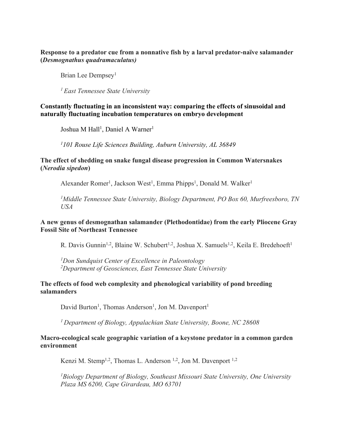#### **Response to a predator cue from a nonnative fish by a larval predator-naïve salamander (***Desmognathus quadramaculatus)*

Brian Lee Dempsey<sup>1</sup>

*<sup>1</sup> East Tennessee State University*

#### **Constantly fluctuating in an inconsistent way: comparing the effects of sinusoidal and naturally fluctuating incubation temperatures on embryo development**

Joshua M Hall<sup>1</sup>, Daniel A Warner<sup>1</sup>

*1 101 Rouse Life Sciences Building, Auburn University, AL 36849*

#### **The effect of shedding on snake fungal disease progression in Common Watersnakes (***Nerodia sipedon***)**

Alexander Romer<sup>1</sup>, Jackson West<sup>1</sup>, Emma Phipps<sup>1</sup>, Donald M. Walker<sup>1</sup>

*1 Middle Tennessee State University, Biology Department, PO Box 60, Murfreesboro, TN USA*

#### **A new genus of desmognathan salamander (Plethodontidae) from the early Pliocene Gray Fossil Site of Northeast Tennessee**

R. Davis Gunnin<sup>1,2</sup>, Blaine W. Schubert<sup>1,2</sup>, Joshua X. Samuels<sup>1,2</sup>, Keila E. Bredehoeft<sup>1</sup>

*1 Don Sundquist Center of Excellence in Paleontology 2 Department of Geosciences, East Tennessee State University*

#### **The effects of food web complexity and phenological variability of pond breeding salamanders**

David Burton<sup>1</sup>, Thomas Anderson<sup>1</sup>, Jon M. Davenport<sup>1</sup>

*<sup>1</sup> Department of Biology, Appalachian State University, Boone, NC 28608*

#### **Macro-ecological scale geographic variation of a keystone predator in a common garden environment**

Kenzi M. Stemp<sup>1,2</sup>, Thomas L. Anderson<sup>1,2</sup>, Jon M. Davenport<sup>1,2</sup>

<sup>1</sup>Biology Department of Biology, Southeast Missouri State University, One University *Plaza MS 6200, Cape Girardeau, MO 63701*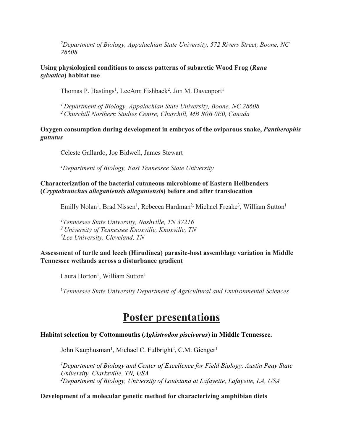*2 Department of Biology, Appalachian State University, 572 Rivers Street, Boone, NC 28608*

**Using physiological conditions to assess patterns of subarctic Wood Frog (***Rana sylvatica***) habitat use**

Thomas P. Hastings<sup>1</sup>, LeeAnn Fishback<sup>2</sup>, Jon M. Davenport<sup>1</sup>

*<sup>1</sup> Department of Biology, Appalachian State University, Boone, NC 28608 <sup>2</sup> Churchill Northern Studies Centre, Churchill, MB R0B 0E0, Canada*

**Oxygen consumption during development in embryos of the oviparous snake,** *Pantherophis guttatus*

Celeste Gallardo, Joe Bidwell, James Stewart

*1 Department of Biology, East Tennessee State University*

#### **Characterization of the bacterial cutaneous microbiome of Eastern Hellbenders (***Cryptobranchus alleganiensis alleganiensi***s) before and after translocation**

Emilly Nolan<sup>1</sup>, Brad Nissen<sup>1</sup>, Rebecca Hardman<sup>2,</sup> Michael Freake<sup>3</sup>, William Sutton<sup>1</sup>

*1 Tennessee State University, Nashville, TN 37216 <sup>2</sup> University of Tennessee Knoxville, Knoxville, TN 3 Lee University, Cleveland, TN*

# **Assessment of turtle and leech (Hirudinea) parasite-host assemblage variation in Middle Tennessee wetlands across a disturbance gradient**

Laura Horton<sup>1</sup>, William Sutton<sup>1</sup>

1 *Tennessee State University Department of Agricultural and Environmental Sciences*

# **Poster presentations**

# **Habitat selection by Cottonmouths (***Agkistrodon piscivorus***) in Middle Tennessee.**

John Kauphusman<sup>1</sup>, Michael C. Fulbright<sup>2</sup>, C.M. Gienger<sup>1</sup>

<sup>1</sup>Department of Biology and Center of Excellence for Field Biology, Austin Peay State *University, Clarksville, TN, USA 2 Department of Biology, University of Louisiana at Lafayette, Lafayette, LA, USA*

#### **Development of a molecular genetic method for characterizing amphibian diets**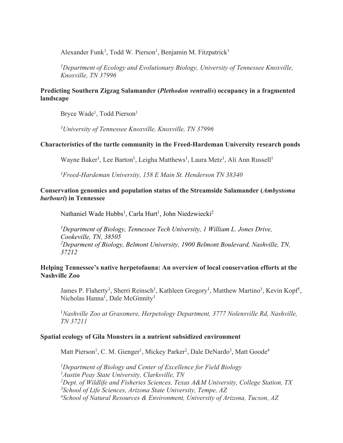Alexander Funk<sup>1</sup>, Todd W. Pierson<sup>1</sup>, Benjamin M. Fitzpatrick<sup>1</sup>

<sup>1</sup>Department of Ecology and Evolutionary Biology, University of Tennessee Knoxville, *Knoxville, TN 37996*

#### **Predicting Southern Zigzag Salamander (***Plethodon ventralis***) occupancy in a fragmented landscape**

Bryce Wade<sup>1</sup>, Todd Pierson<sup>1</sup>

*1 University of Tennessee Knoxville, Knoxville, TN 37996*

#### **Characteristics of the turtle community in the Freed-Hardeman University research ponds**

Wayne Baker<sup>1</sup>, Lee Barton<sup>1</sup>, Leigha Matthews<sup>1</sup>, Laura Metz<sup>1</sup>, Ali Ann Russell<sup>1</sup>

*1 Freed-Hardeman University, 158 E Main St. Henderson TN 38340*

#### **Conservation genomics and population status of the Streamside Salamander (***Ambystoma barbouri***) in Tennessee**

Nathaniel Wade Hubbs<sup>1</sup>, Carla Hurt<sup>1</sup>, John Niedzwiecki<sup>2</sup>

<sup>1</sup>Department of Biology, Tennessee Tech University, 1 William L. Jones Drive, *Cookeville, TN, 38505 2 Deparment of Biology, Belmont University, 1900 Belmont Boulevard, Nashville, TN, 37212*

#### **Helping Tennessee's native herpetofauna: An overview of local conservation efforts at the Nashville Zoo**

James P. Flaherty<sup>1</sup>, Sherri Reinsch<sup>1</sup>, Kathleen Gregory<sup>1</sup>, Matthew Martino<sup>1</sup>, Kevin Kopf<sup>1</sup>, Nicholas Hanna<sup>1</sup>, Dale McGinnity<sup>1</sup>

<sup>1</sup>Nashville Zoo at Grassmere, Herpetology Department, 3777 Nolensville Rd, Nashville, *TN 37211*

#### **Spatial ecology of Gila Monsters in a nutrient subsidized environment**

Matt Pierson<sup>1</sup>, C. M. Gienger<sup>1</sup>, Mickey Parker<sup>2</sup>, Dale DeNardo<sup>3</sup>, Matt Goode<sup>4</sup>

 *Department of Biology and Center of Excellence for Field Biology Austin Peay State University, Clarksville, TN Dept. of Wildlife and Fisheries Sciences, Texas A&M University, College Station, TX School of Life Sciences, Arizona State University, Tempe, AZ School of Natural Resources & Environment, University of Arizona, Tucson, AZ*